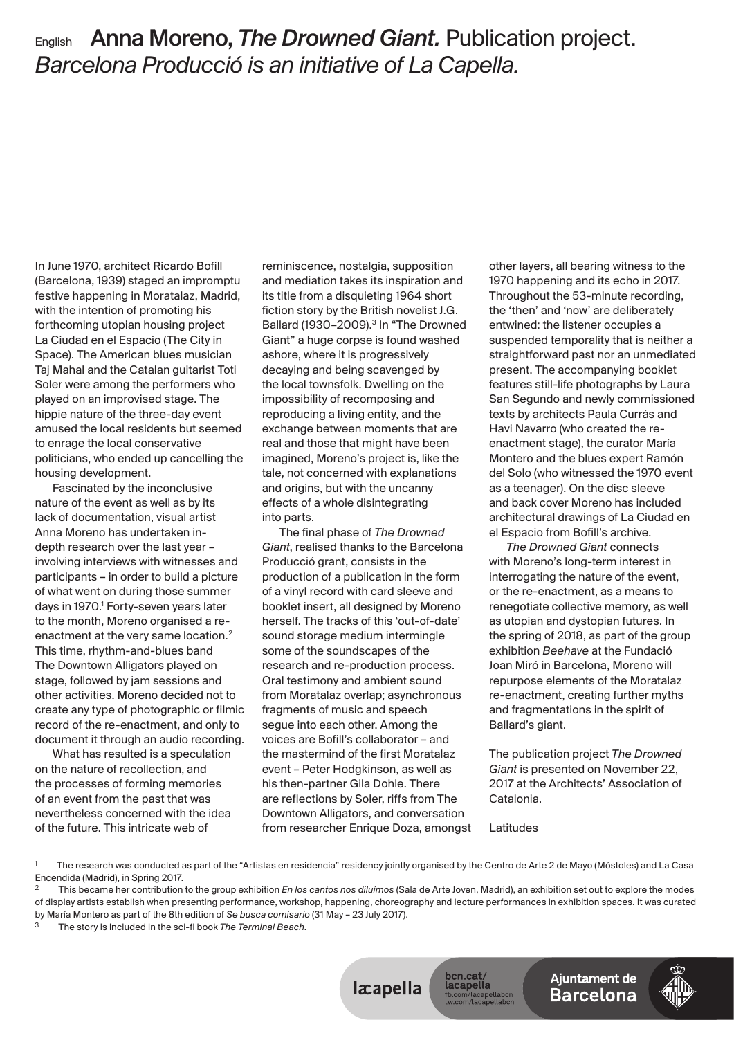## English Anna Moreno, *The Drowned Giant*. Publication project. *Barcelona Producció is an initiative of La Capella.*

In June 1970, architect Ricardo Bofill (Barcelona, 1939) staged an impromptu festive happening in Moratalaz, Madrid, with the intention of promoting his forthcoming utopian housing project La Ciudad en el Espacio (The City in Space). The American blues musician Taj Mahal and the Catalan guitarist Toti Soler were among the performers who played on an improvised stage. The hippie nature of the three-day event amused the local residents but seemed to enrage the local conservative politicians, who ended up cancelling the housing development.

Fascinated by the inconclusive nature of the event as well as by its lack of documentation, visual artist Anna Moreno has undertaken indepth research over the last year involving interviews with witnesses and participants – in order to build a picture of what went on during those summer days in 1970.<sup>1</sup> Forty-seven years later to the month, Moreno organised a reenactment at the very same location.<sup>2</sup> This time, rhythm-and-blues band The Downtown Alligators played on stage, followed by jam sessions and other activities. Moreno decided not to create any type of photographic or filmic record of the re-enactment, and only to document it through an audio recording.

What has resulted is a speculation on the nature of recollection, and the processes of forming memories of an event from the past that was nevertheless concerned with the idea of the future. This intricate web of

reminiscence, nostalgia, supposition and mediation takes its inspiration and its title from a disquieting 1964 short fiction story by the British novelist J.G. Ballard (1930-2009).<sup>3</sup> In "The Drowned Giant" a huge corpse is found washed ashore, where it is progressively decaying and being scavenged by the local townsfolk. Dwelling on the impossibility of recomposing and reproducing a living entity, and the exchange between moments that are real and those that might have been imagined, Moreno's project is, like the tale, not concerned with explanations and origins, but with the uncanny effects of a whole disintegrating into parts.

The final phase of *The Drowned Giant*, realised thanks to the Barcelona Producció grant, consists in the production of a publication in the form of a vinyl record with card sleeve and booklet insert, all designed by Moreno herself. The tracks of this 'out-of-date' sound storage medium intermingle some of the soundscapes of the research and re-production process. Oral testimony and ambient sound from Moratalaz overlap; asynchronous fragments of music and speech segue into each other. Among the voices are Bofill's collaborator - and the mastermind of the first Moratalaz event – Peter Hodgkinson, as well as his then-partner Gila Dohle. There are reflections by Soler, riffs from The Downtown Alligators, and conversation from researcher Enrique Doza, among other layers, all bearing witness to the 1970 happening and its echo in 2017. Throughout the 53-minute recording, the 'then' and 'now' are deliberately entwined: the listener occupies a suspended temporality that is neither a straightforward past nor an unmediated present. The accompanying booklet features still-life photographs by Laura San Segundo and newly commissioned texts by architects Paula Currás and Havi Navarro (who created the reenactment stage), the curator María Montero and the blues expert Ramón del Solo (who witnessed the 1970 event as a teenager). On the disc sleeve and back cover Moreno has included architectural drawings of La Ciudad en el Espacio from Bofill's archive.

**The Drowned Giant connects** with Moreno's long-term interest in interrogating the nature of the event, or the re-enactment, as a means to renegotiate collective memory, as well as utopian and dystopian futures. In the spring of 2018, as part of the group exhibition *Beehave* at the Fundació Joan Miró in Barcelona, Moreno will repurpose elements of the Moratalaz re-enactment, creating further myths and fragmentations in the spirit of Ballard's giant.

The publication proje *The Drowned Giant* is presented on November 22, 2017 at the Architects' Association of Catalonia.

Latitudes

2 This became her contribution to the group exhibition *En los cantos nos diluímos* (Sala de Arte Joven, Madrid), an exhibition set out to explore the modes of display artists establish when presenting performance, workshop, happening, choreography and lecture performances in exhibition spaces. It was curated by María Montero as part of the 8th edition of *Se busca comisario* (31 May – 23 July 2017).

The story is included in the sci-fi book *The Terminal Beach*.



<sup>1</sup> The research was conducted as part of the "Artistas en residencia" residency jointly organised by the Centro de Arte 2 de Mayo (Móstoles) and La Casa Encendida (Madrid), in Spring 2017.